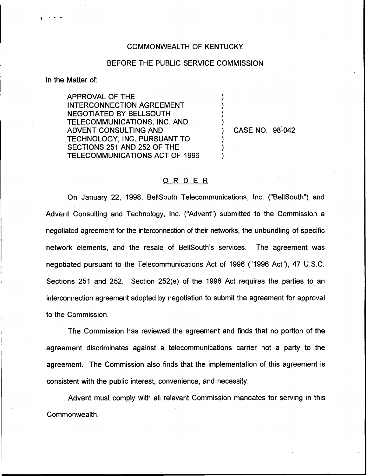## COMMONWEALTH OF KENTUCKY

## BEFORE THE PUBLIC SERVICE COMMISSION

) ) ) )

) ) )

In the Matter of:

 $\frac{1}{2}$   $\rightarrow$   $\frac{1}{2}$   $\rightarrow$ 

APPROVAL OF THE INTERCONNECTION AGREEMENT NEGOTIATED BY BELLSOUTH TELECOMMUNICATIONS, INC. AND ADVENT CONSULTING AND TECHNOLOGY, INC. PURSUANT TO SECTIONS 251 AND 252 OF THE TELECOMMUNICATIONS ACT OF 1996

) CASE NO. 98-042

## O,R <sup>D</sup> E R

On January 22, 1998, BellSouth Telecommunications, Inc. ("BellSouth") and Advent Consulting and Technology, Inc. ("Advent") submitted to the Commission a negotiated agreement for the interconnection of their networks, the unbundling of specific network elements, and the resale of BellSouth's services. The agreement was negotiated pursuant to the Telecommunications Act of 1996 ("1996 Act"), 47 U.S.C. Sections 251 and 252. Section 252(e) of the 1996 Act requires the parties to an interconnection agreement adopted by negotiation to submit the agreement for approval to the Commission.

The Commission has reviewed the agreement and finds that no portion of the agreement discriminates against a telecommunications carrier not a party to the agreement. The Commission also finds that the implementation of this agreement is consistent with the public interest, convenience, and necessity.

Advent must comply with all relevant Commission mandates for serving in this Commonwealth.